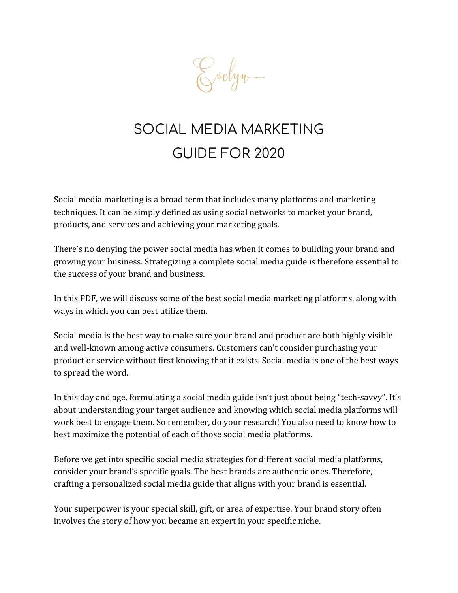

# SOCIAL MEDIA MARKETING GUIDE FOR 2020

Social media marketing is a broad term that includes many platforms and marketing techniques. It can be simply defined as using social networks to market your brand, products, and services and achieving your marketing goals.

There's no denying the power social media has when it comes to building your brand and growing your business. Strategizing a complete social media guide is therefore essential to the success of your brand and business.

In this PDF, we will discuss some of the best social media marketing platforms, along with ways in which you can best utilize them.

Social media is the best way to make sure your brand and product are both highly visible and well-known among active consumers. Customers can't consider purchasing your product or service without first knowing that it exists. Social media is one of the best ways to spread the word.

In this day and age, formulating a social media guide isn't just about being "tech-savvy". It's about understanding your target audience and knowing which social media platforms will work best to engage them. So remember, do your research! You also need to know how to best maximize the potential of each of those social media platforms.

Before we get into specific social media strategies for different social media platforms, consider your brand's specific goals. The best brands are authentic ones. Therefore, crafting a personalized social media guide that aligns with your brand is essential.

Your superpower is your special skill, gift, or area of expertise. Your brand story often involves the story of how you became an expert in your specific niche.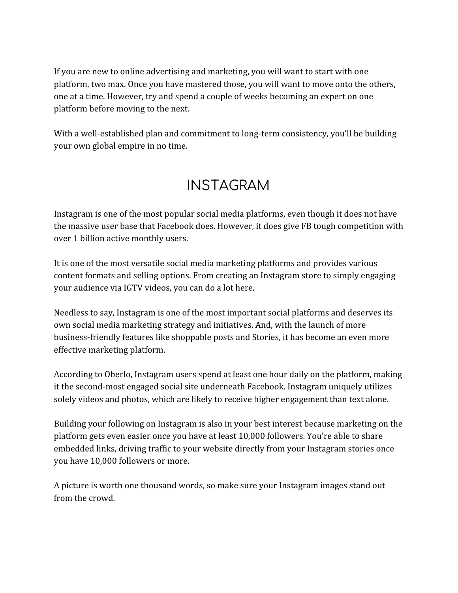If you are new to online advertising and marketing, you will want to start with one platform, two max. Once you have mastered those, you will want to move onto the others, one at a time. However, try and spend a couple of weeks becoming an expert on one platform before moving to the next.

With a well-established plan and commitment to long-term consistency, you'll be building your own global empire in no time.

### INSTAGRAM

Instagram is one of the most popular social media platforms, even though it does not have the massive user base that Facebook does. However, it does give FB tough competition with over 1 billion active monthly users.

It is one of the most versatile social media marketing platforms and provides various content formats and selling options. From creating an Instagram store to simply engaging your audience via IGTV videos, you can do a lot here.

Needless to say, Instagram is one of the most important social platforms and deserves its own social media marketing strategy and initiatives. And, with the launch of more business-friendly features like shoppable posts and Stories, it has become an even more effective marketing platform.

According to Oberlo, Instagram users spend at least one hour daily on the platform, making it the second-most engaged social site underneath Facebook. Instagram uniquely utilizes solely videos and photos, which are likely to receive higher engagement than text alone.

Building your following on Instagram is also in your best interest because marketing on the platform gets even easier once you have at least 10,000 followers. You're able to share embedded links, driving traffic to your website directly from your Instagram stories once you have 10,000 followers or more.

A picture is worth one thousand words, so make sure your Instagram images stand out from the crowd.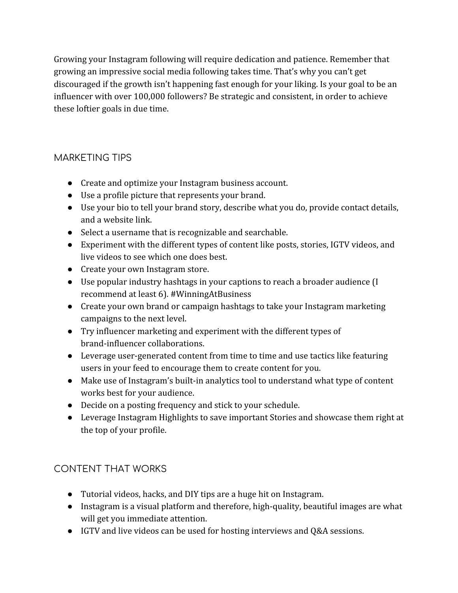Growing your Instagram following will require dedication and patience. Remember that growing an impressive social media following takes time. That's why you can't get discouraged if the growth isn't happening fast enough for your liking. Is your goal to be an influencer with over 100,000 followers? Be strategic and consistent, in order to achieve these loftier goals in due time.

### MARKETING TIPS

- Create and optimize your Instagram business account.
- Use a profile picture that represents your brand.
- Use your bio to tell your brand story, describe what you do, provide contact details, and a website link.
- Select a username that is recognizable and searchable.
- Experiment with the different types of content like posts, stories, IGTV videos, and live videos to see which one does best.
- Create your own Instagram store.
- Use popular industry hashtags in your captions to reach a broader audience (I recommend at least 6). #WinningAtBusiness
- Create your own brand or campaign hashtags to take your Instagram marketing campaigns to the next level.
- Try influencer marketing and experiment with the different types of brand-influencer collaborations.
- Leverage user-generated content from time to time and use tactics like featuring users in your feed to encourage them to create content for you.
- Make use of Instagram's built-in analytics tool to understand what type of content works best for your audience.
- Decide on a posting frequency and stick to your schedule.
- Leverage Instagram Highlights to save important Stories and showcase them right at the top of your profile.

### CONTENT THAT WORKS

- Tutorial videos, hacks, and DIY tips are a huge hit on Instagram.
- Instagram is a visual platform and therefore, high-quality, beautiful images are what will get you immediate attention.
- IGTV and live videos can be used for hosting interviews and Q&A sessions.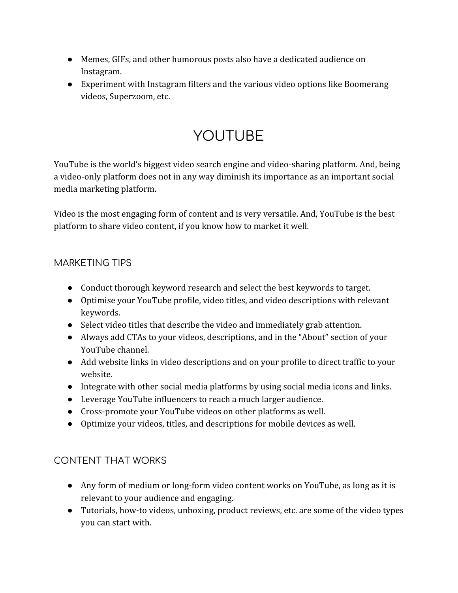- Memes, GIFs, and other humorous posts also have a dedicated audience on Instagram.
- Experiment with Instagram filters and the various video options like Boomerang videos, Superzoom, etc.

# YOUTUBE

YouTube is the world's biggest video search engine and video-sharing platform. And, being a video-only platform does not in any way diminish its importance as an important social media marketing platform.

Video is the most engaging form of content and is very versatile. And, YouTube is the best platform to share video content, if you know how to market it well.

#### MARKETING TIPS

- Conduct thorough keyword research and select the best keywords to target.
- Optimise your YouTube profile, video titles, and video descriptions with relevant keywords.
- Select video titles that describe the video and immediately grab attention.
- Always add CTAs to your videos, descriptions, and in the "About" section of your YouTube channel.
- Add website links in video descriptions and on your profile to direct traffic to your website.
- Integrate with other social media platforms by using social media icons and links.
- Leverage YouTube influencers to reach a much larger audience.
- Cross-promote your YouTube videos on other platforms as well.
- Optimize your videos, titles, and descriptions for mobile devices as well.

### CONTENT THAT WORKS

- Any form of medium or long-form video content works on YouTube, as long as it is relevant to your audience and engaging.
- Tutorials, how-to videos, unboxing, product reviews, etc. are some of the video types you can start with.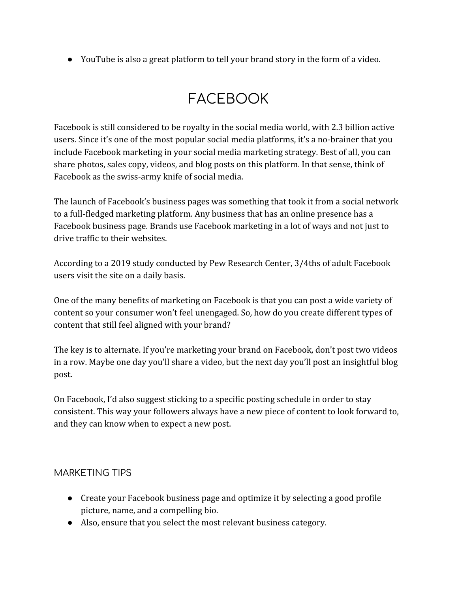● YouTube is also a great platform to tell your brand story in the form of a video.

## FACEBOOK

Facebook is still considered to be royalty in the social media world, with 2.3 billion active users. Since it's one of the most popular social media platforms, it's a no-brainer that you include Facebook marketing in your social media marketing strategy. Best of all, you can share photos, sales copy, videos, and blog posts on this platform. In that sense, think of Facebook as the swiss-army knife of social media.

The launch of Facebook's business pages was something that took it from a social network to a full-fledged marketing platform. Any business that has an online presence has a Facebook business page. Brands use Facebook marketing in a lot of ways and not just to drive traffic to their websites.

According to a 2019 study conducted by Pew Research Center, 3/4ths of adult Facebook users visit the site on a daily basis.

One of the many benefits of marketing on Facebook is that you can post a wide variety of content so your consumer won't feel unengaged. So, how do you create different types of content that still feel aligned with your brand?

The key is to alternate. If you're marketing your brand on Facebook, don't post two videos in a row. Maybe one day you'll share a video, but the next day you'll post an insightful blog post.

On Facebook, I'd also suggest sticking to a specific posting schedule in order to stay consistent. This way your followers always have a new piece of content to look forward to, and they can know when to expect a new post.

#### MARKETING TIPS

- Create your Facebook business page and optimize it by selecting a good profile picture, name, and a compelling bio.
- Also, ensure that you select the most relevant business category.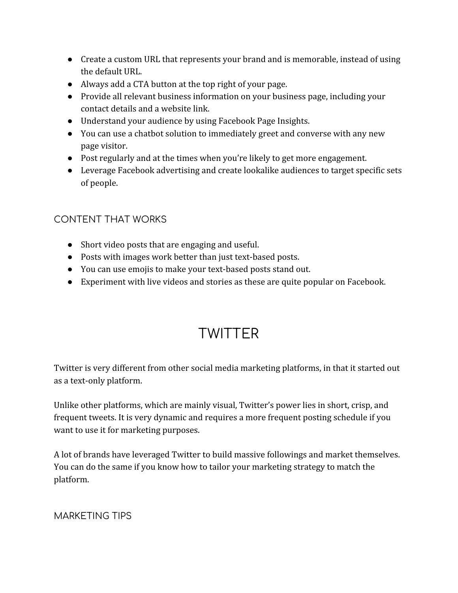- Create a custom URL that represents your brand and is memorable, instead of using the default URL.
- Always add a CTA button at the top right of your page.
- Provide all relevant business information on your business page, including your contact details and a website link.
- Understand your audience by using Facebook Page Insights.
- You can use a chatbot solution to immediately greet and converse with any new page visitor.
- Post regularly and at the times when you're likely to get more engagement.
- Leverage Facebook advertising and create lookalike audiences to target specific sets of people.

### CONTENT THAT WORKS

- Short video posts that are engaging and useful.
- Posts with images work better than just text-based posts.
- You can use emojis to make your text-based posts stand out.
- Experiment with live videos and stories as these are quite popular on Facebook.

### **TWITTER**

Twitter is very different from other social media marketing platforms, in that it started out as a text-only platform.

Unlike other platforms, which are mainly visual, Twitter's power lies in short, crisp, and frequent tweets. It is very dynamic and requires a more frequent posting schedule if you want to use it for marketing purposes.

A lot of brands have leveraged Twitter to build massive followings and market themselves. You can do the same if you know how to tailor your marketing strategy to match the platform.

MARKETING TIPS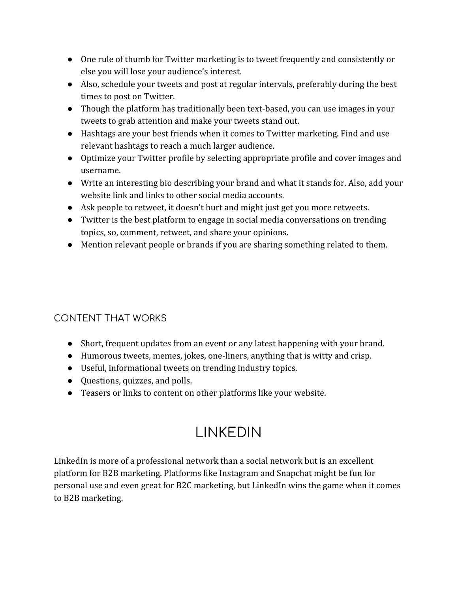- One rule of thumb for Twitter marketing is to tweet frequently and consistently or else you will lose your audience's interest.
- Also, schedule your tweets and post at regular intervals, preferably during the best times to post on Twitter.
- Though the platform has traditionally been text-based, you can use images in your tweets to grab attention and make your tweets stand out.
- Hashtags are your best friends when it comes to Twitter marketing. Find and use relevant hashtags to reach a much larger audience.
- Optimize your Twitter profile by selecting appropriate profile and cover images and username.
- Write an interesting bio describing your brand and what it stands for. Also, add your website link and links to other social media accounts.
- Ask people to retweet, it doesn't hurt and might just get you more retweets.
- Twitter is the best platform to engage in social media conversations on trending topics, so, comment, retweet, and share your opinions.
- Mention relevant people or brands if you are sharing something related to them.

### CONTENT THAT WORKS

- Short, frequent updates from an event or any latest happening with your brand.
- Humorous tweets, memes, jokes, one-liners, anything that is witty and crisp.
- Useful, informational tweets on trending industry topics.
- Questions, quizzes, and polls.
- Teasers or links to content on other platforms like your website.

## LINKEDIN

LinkedIn is more of a professional network than a social network but is an excellent platform for B2B marketing. Platforms like Instagram and Snapchat might be fun for personal use and even great for B2C marketing, but LinkedIn wins the game when it comes to B2B marketing.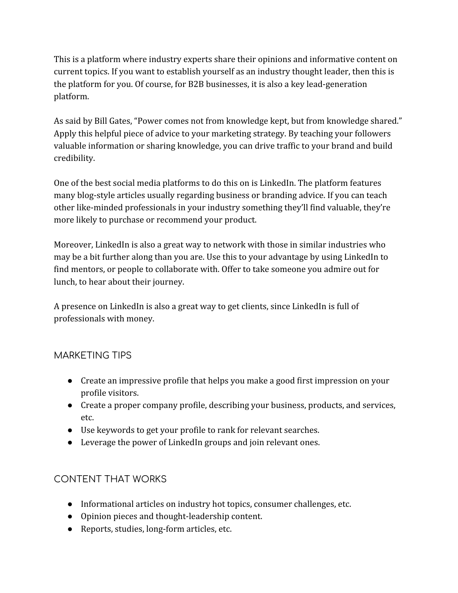This is a platform where industry experts share their opinions and informative content on current topics. If you want to establish yourself as an industry thought leader, then this is the platform for you. Of course, for B2B businesses, it is also a key lead-generation platform.

As said by Bill Gates, "Power comes not from knowledge kept, but from knowledge shared." Apply this helpful piece of advice to your marketing strategy. By teaching your followers valuable information or sharing knowledge, you can drive traffic to your brand and build credibility.

One of the best social media platforms to do this on is LinkedIn. The platform features many blog-style articles usually regarding business or branding advice. If you can teach other like-minded professionals in your industry something they'll find valuable, they're more likely to purchase or recommend your product.

Moreover, LinkedIn is also a great way to network with those in similar industries who may be a bit further along than you are. Use this to your advantage by using LinkedIn to find mentors, or people to collaborate with. Offer to take someone you admire out for lunch, to hear about their journey.

A presence on LinkedIn is also a great way to get clients, since LinkedIn is full of professionals with money.

#### MARKETING TIPS

- Create an impressive profile that helps you make a good first impression on your profile visitors.
- Create a proper company profile, describing your business, products, and services, etc.
- Use keywords to get your profile to rank for relevant searches.
- Leverage the power of LinkedIn groups and join relevant ones.

### CONTENT THAT WORKS

- Informational articles on industry hot topics, consumer challenges, etc.
- Opinion pieces and thought-leadership content.
- Reports, studies, long-form articles, etc.